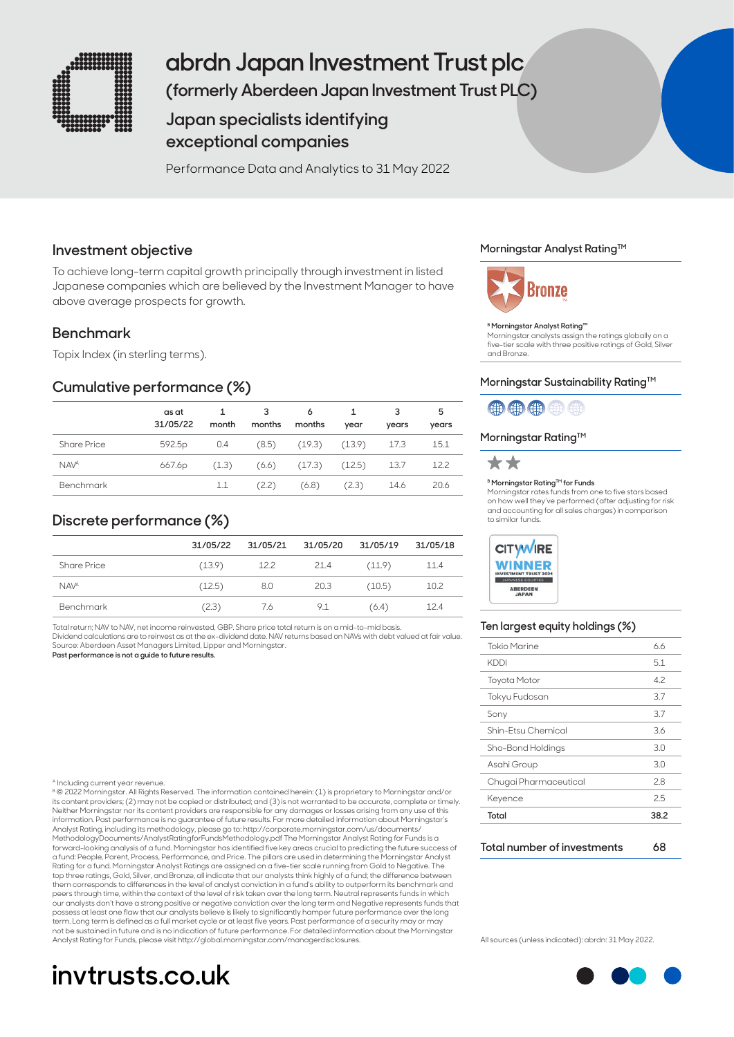

# **abrdn Japan Investment Trust plc**

**(formerly Aberdeen Japan Investment Trust PLC)**

# **Japan specialists identifying exceptional companies**

Performance Data and Analytics to 31 May 2022

## **Investment objective**

To achieve long-term capital growth principally through investment in listed Japanese companies which are believed by the Investment Manager to have above average prospects for growth.

# **Benchmark**

Topix Index (in sterling terms).

# **Cumulative performance (%)**

|                  | as at<br>31/05/22  | month | 3<br>months | 6<br>months               | year  | vears | 5<br>years |
|------------------|--------------------|-------|-------------|---------------------------|-------|-------|------------|
| Share Price      | 592.5 <sub>p</sub> | 0.4   |             | $(8.5)$ $(19.3)$ $(13.9)$ |       | 17.3  | 15.1       |
| <b>NAVA</b>      | 667.6p             | (1.3) |             | $(6.6)$ $(17.3)$ $(12.5)$ |       | 13.7  | 12.2       |
| <b>Benchmark</b> |                    | 1.1   | (2.2)       | (6.8)                     | (2.3) | 14.6  | 20.6       |

# **Discrete performance (%)**

|                        | 31/05/22 | 31/05/21 | 31/05/20 | 31/05/19 | 31/05/18 |
|------------------------|----------|----------|----------|----------|----------|
| <b>Share Price</b>     | (13.9)   | 12.2     | 21.4     | (11.9)   | 11.4     |
| <b>NAV<sup>A</sup></b> | (12.5)   | 8.0      | -20.3    | (10.5)   | 10.2     |
| <b>Benchmark</b>       | (2.3)    | 7.6      | 9.1      | (6.4)    | 12.4     |

Total return; NAV to NAV, net income reinvested, GBP. Share price total return is on a mid-to-mid basis. Dividend calculations are to reinvest as at the ex-dividend date. NAV returns based on NAVs with debt valued at fair value.

Source: Aberdeen Asset Managers Limited, Lipper and Morningstar. **Past performance is not a guide to future results.**

#### A Including current year revenue.

B © 2022 Morningstar. All Rights Reserved. The information contained herein: (1) is proprietary to Morningstar and/or its content providers; (2) may not be copied or distributed; and (3) is not warranted to be accurate, complete or timely. Neither Morningstar nor its content providers are responsible for any damages or losses arising from any use of this<br>information. Past performance is no guarantee of future results. For more detailed information about Morn Analyst Rating, including its methodology, please go to: http://corporate.morningstar.com/us/documents/ MethodologyDocuments/AnalystRatingforFundsMethodology.pdf The Morningstar Analyst Rating for Funds is a forward-looking analysis of a fund. Morningstar has identified five key areas crucial to predicting the future success of a fund: People, Parent, Process, Performance, and Price. The pillars are used in determining the Morningstar Analyst Rating for a fund. Morningstar Analyst Ratings are assigned on a five-tier scale running from Gold to Negative. The<br>top three ratings, Gold, Silver, and Bronze, all indicate that our analysts think highly of a fund; the di them corresponds to differences in the level of analyst conviction in a fund's ability to outperform its benchmark and peers through time, within the context of the level of risk taken over the long term. Neutral represents funds in which our analysts don't have a strong positive or negative conviction over the long term and Negative represents funds that<br>possess at least one flaw that our analysts believe is likely to significantly hamper future performanc term. Long term is defined as a full market cycle or at least five years. Past performance of a security may or may<br>not be sustained in future and is no indication of future performance. For detailed information about the Analyst Rating for Funds, please visit http://global.morningstar.com/managerdisclosures.

# **invtrusts.co.uk**

## **Morningstar Analyst RatingTM**



#### **B Morningstar Analyst Rating™**

Morningstar analysts assign the ratings globally on a five-tier scale with three positive ratings of Gold, Silver and Bronze.

#### Morningstar Sustainability Rating<sup>™</sup>



## **Morningstar Rating™**



#### **B Morningstar Rating™ for Funds**

Morningstar rates funds from one to five stars based on how well they've performed (after adjusting for risk and accounting for all sales charges) in comparison to similar funds.



#### **Ten largest equity holdings (%)**

| <b>Tokio Marine</b>   | 6.6  |
|-----------------------|------|
| <b>KDDI</b>           | 5.1  |
| <b>Toyota Motor</b>   | 4.2  |
| Tokyu Fudosan         | 3.7  |
| Sony                  | 3.7  |
| Shin-Etsu Chemical    | 3.6  |
| Sho-Bond Holdings     | 3.0  |
| Asahi Group           | 3.0  |
| Chugai Pharmaceutical | 2.8  |
| Keyence               | 2.5  |
| Total                 | 38.2 |

#### **Total number of investments 68**

All sources (unless indicated): abrdn: 31 May 2022.

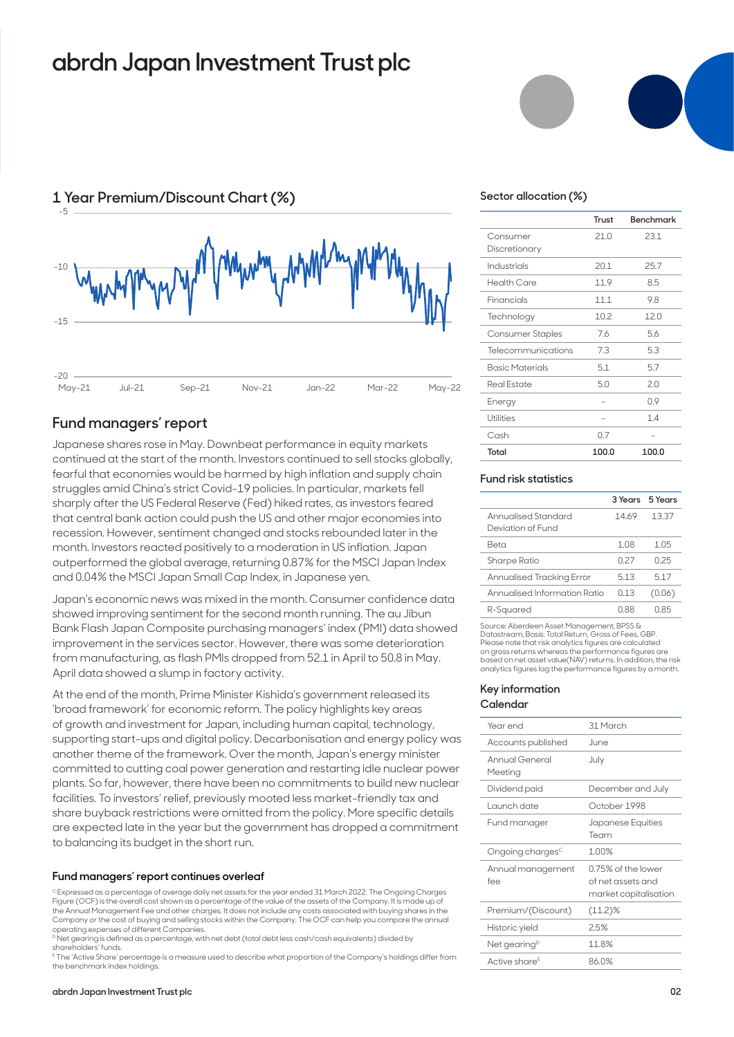# **abrdn Japan Investment Trust plc**



## **Fund managers' report**

Japanese shares rose in May. Downbeat performance in equity markets continued at the start of the month. Investors continued to sell stocks globally, fearful that economies would be harmed by high inflation and supply chain struggles amid China's strict Covid-19 policies. In particular, markets fell sharply after the US Federal Reserve (Fed) hiked rates, as investors feared that central bank action could push the US and other major economies into recession. However, sentiment changed and stocks rebounded later in the month. Investors reacted positively to a moderation in US inflation. Japan outperformed the global average, returning 0.87% for the MSCI Japan Index and 0.04% the MSCI Japan Small Cap Index, in Japanese yen.

Japan's economic news was mixed in the month. Consumer confidence data showed improving sentiment for the second month running. The au Jibun Bank Flash Japan Composite purchasing managers' index (PMI) data showed improvement in the services sector. However, there was some deterioration from manufacturing, as flash PMIs dropped from 52.1 in April to 50.8 in May. April data showed a slump in factory activity.

At the end of the month, Prime Minister Kishida's government released its 'broad framework' for economic reform. The policy highlights key areas of growth and investment for Japan, including human capital, technology, supporting start-ups and digital policy. Decarbonisation and energy policy was another theme of the framework. Over the month, Japan's energy minister committed to cutting coal power generation and restarting idle nuclear power plants. So far, however, there have been no commitments to build new nuclear facilities. To investors' relief, previously mooted less market-friendly tax and share buyback restrictions were omitted from the policy. More specific details are expected late in the year but the government has dropped a commitment to balancing its budget in the short run.

#### **Fund managers' report continues overleaf**

C Expressed as a percentage of average daily net assets for the year ended 31 March 2022. The Ongoing Charges Figure (OCF) is the overall cost shown as a percentage of the value of the assets of the Company. It is made up of the Annual Management Fee and other charges. It does not include any costs associated with buying shares in the Company or the cost of buying and selling stocks within the Company. The OCF can help you compare the annual operating expenses of different Companies.

<sup>D</sup> Net gearing is defined as a percentage, with net debt (total debt less cash/cash equivalents) divided by shareholders' funds.

E The 'Active Share' percentage is a measure used to describe what proportion of the Company's holdings differ from the benchmark index holdings.



### **Sector allocation (%)**

|                        | Trust | Benchmark |
|------------------------|-------|-----------|
| Consumer               | 21.0  | 23.1      |
| Discretionary          |       |           |
| Industrials            | 20.1  | 25.7      |
| <b>Health Care</b>     | 11.9  | 8.5       |
| Financials             | 11.1  | 9.8       |
| Technology             | 10.2  | 12.0      |
| Consumer Staples       | 7.6   | 5.6       |
| Telecommunications     | 7.3   | 5.3       |
| <b>Basic Materials</b> | 5.1   | 5.7       |
| <b>Real Estate</b>     | 5.0   | 2.0       |
| Energy                 |       | 0.9       |
| Utilities              |       | 1.4       |
| Cash                   | 0.7   |           |
| Total                  | 100.0 | 100.0     |

## **Fund risk statistics**

|                                          |       | 3 Years 5 Years |
|------------------------------------------|-------|-----------------|
| Annualised Standard<br>Deviation of Fund | 1469  | 1337            |
| Reta                                     | 1 08  | 1 05            |
| Sharpe Ratio                             | N 27  | 025             |
| Annualised Tracking Error                | 513   | 517             |
| Annualised Information Ratio             | 0 1 3 | (0.06)          |
| R-Squared                                | N 88  | በ 85            |

Source: Aberdeen Asset Management, BPSS & Datastream, Basis: Total Return, Gross of Fees, GBP. Please note that risk analytics figures are calculated on gross returns whereas the performance figures are based on net asset value(NAV) returns. In addition, the risk analytics figures lag the performance figures by a month.

#### **Key information Calendar**

| Year end                     | 31 March                                                         |
|------------------------------|------------------------------------------------------------------|
| Accounts published           | .June                                                            |
| Annual General<br>Meeting    | July                                                             |
| Dividend paid                | December and July                                                |
| Launch date                  | October 1998                                                     |
| Fund manager                 | Japanese Equities<br>Team                                        |
| Ongoing charges <sup>c</sup> | 1.00%                                                            |
| Annual management<br>fee     | 0.75% of the lower<br>of net assets and<br>market capitalisation |
| Premium/(Discount)           | $(11.2)\%$                                                       |
| Historic yield               | 2.5%                                                             |
| Net gearing <sup>p</sup>     | 11.8%                                                            |
| Active share <sup>E</sup>    | 86.0%                                                            |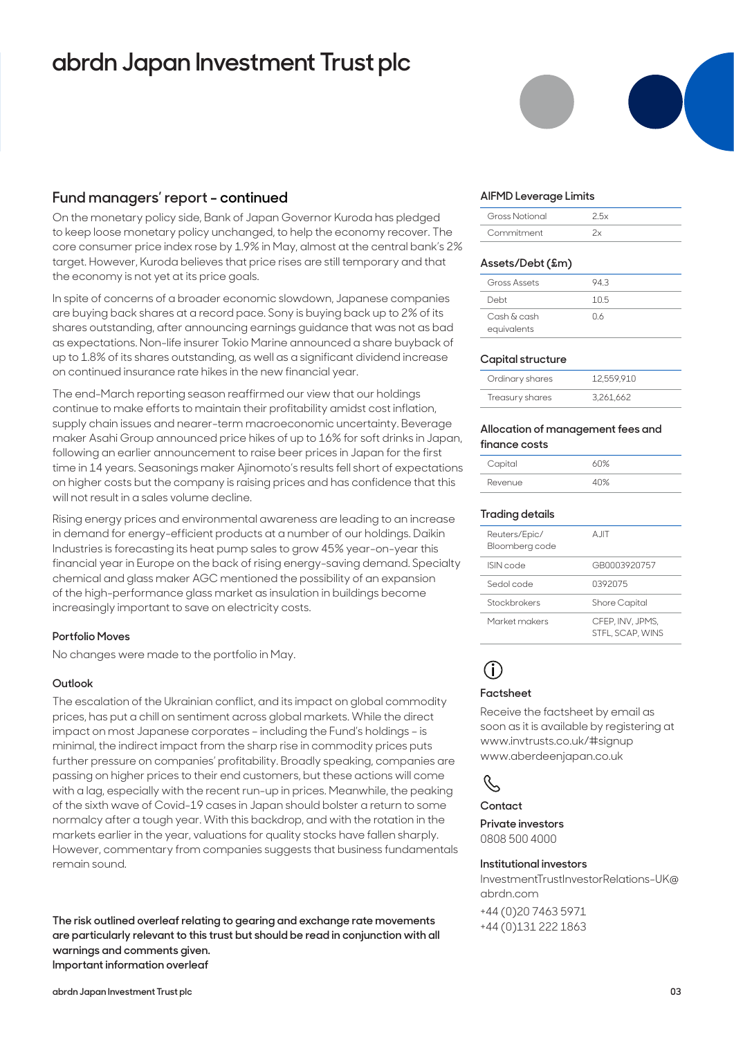# **abrdn Japan Investment Trust plc**

## **Fund managers' report - continued**

On the monetary policy side, Bank of Japan Governor Kuroda has pledged to keep loose monetary policy unchanged, to help the economy recover. The core consumer price index rose by 1.9% in May, almost at the central bank's 2% target. However, Kuroda believes that price rises are still temporary and that the economy is not yet at its price goals.

In spite of concerns of a broader economic slowdown, Japanese companies are buying back shares at a record pace. Sony is buying back up to 2% of its shares outstanding, after announcing earnings guidance that was not as bad as expectations. Non-life insurer Tokio Marine announced a share buyback of up to 1.8% of its shares outstanding, as well as a significant dividend increase on continued insurance rate hikes in the new financial year.

The end-March reporting season reaffirmed our view that our holdings continue to make efforts to maintain their profitability amidst cost inflation, supply chain issues and nearer-term macroeconomic uncertainty. Beverage maker Asahi Group announced price hikes of up to 16% for soft drinks in Japan, following an earlier announcement to raise beer prices in Japan for the first time in 14 years. Seasonings maker Ajinomoto's results fell short of expectations on higher costs but the company is raising prices and has confidence that this will not result in a sales volume decline.

Rising energy prices and environmental awareness are leading to an increase in demand for energy-efficient products at a number of our holdings. Daikin Industries is forecasting its heat pump sales to grow 45% year-on-year this financial year in Europe on the back of rising energy-saving demand. Specialty chemical and glass maker AGC mentioned the possibility of an expansion of the high-performance glass market as insulation in buildings become increasingly important to save on electricity costs.

## **Portfolio Moves**

No changes were made to the portfolio in May.

## **Outlook**

The escalation of the Ukrainian conflict, and its impact on global commodity prices, has put a chill on sentiment across global markets. While the direct impact on most Japanese corporates – including the Fund's holdings – is minimal, the indirect impact from the sharp rise in commodity prices puts further pressure on companies' profitability. Broadly speaking, companies are passing on higher prices to their end customers, but these actions will come with a lag, especially with the recent run-up in prices. Meanwhile, the peaking of the sixth wave of Covid-19 cases in Japan should bolster a return to some normalcy after a tough year. With this backdrop, and with the rotation in the markets earlier in the year, valuations for quality stocks have fallen sharply. However, commentary from companies suggests that business fundamentals remain sound.

**The risk outlined overleaf relating to gearing and exchange rate movements are particularly relevant to this trust but should be read in conjunction with all warnings and comments given. Important information overleaf**

#### **AIFMD Leverage Limits**

| <b>Gross Notional</b> |  |
|-----------------------|--|
| Commitment            |  |

#### **Assets/Debt (£m)**

| Gross Assets               | 943 |
|----------------------------|-----|
| Debt                       | 105 |
| Cash & cash<br>equivalents | 06  |

### **Capital structure**

| Ordinary shares | 12.559.910 |
|-----------------|------------|
| Treasury shares | 3.261.662  |

#### **Allocation of management fees and finance costs**

| Capital | 60% |
|---------|-----|
| Revenue |     |

### **Trading details**

| Reuters/Epic/<br>Bloomberg code | A IIT                                |
|---------------------------------|--------------------------------------|
| ISIN code                       | GR0003920757                         |
| Sedol code                      | 0392075                              |
| Stockbrokers                    | Shore Capital                        |
| Market makers                   | CFEP. INV. JPMS.<br>STFL, SCAP, WINS |



#### **Factsheet**

Receive the factsheet by email as soon as it is available by registering at www.invtrusts.co.uk/#signup www.aberdeenjapan.co.uk

# $\mathcal{S}$

#### **Contact**

**Private investors**  0808 500 4000

#### **Institutional investors**

InvestmentTrustInvestorRelations-UK@ abrdn.com

+44 (0)20 7463 5971 +44 (0)131 222 1863